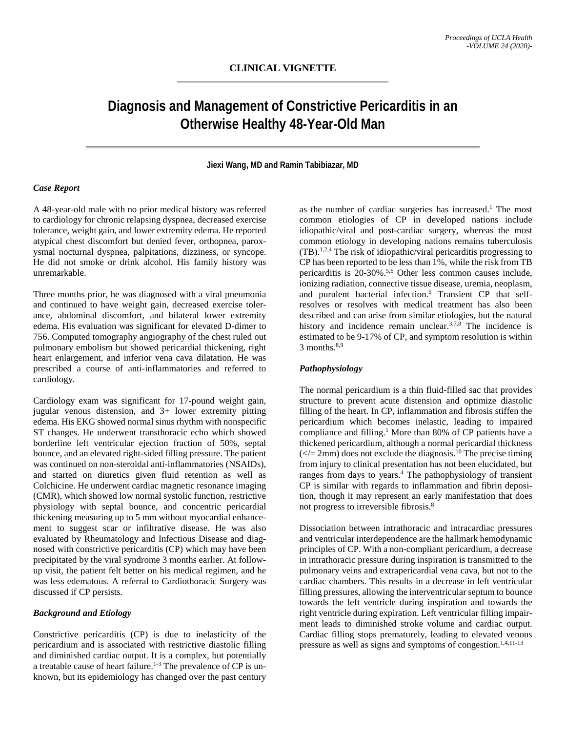# **Diagnosis and Management of Constrictive Pericarditis in an Otherwise Healthy 48-Year-Old Man**

# **Jiexi Wang, MD and Ramin Tabibiazar, MD**

## *Case Report*

A 48-year-old male with no prior medical history was referred to cardiology for chronic relapsing dyspnea, decreased exercise tolerance, weight gain, and lower extremity edema. He reported atypical chest discomfort but denied fever, orthopnea, paroxysmal nocturnal dyspnea, palpitations, dizziness, or syncope. He did not smoke or drink alcohol. His family history was unremarkable.

Three months prior, he was diagnosed with a viral pneumonia and continued to have weight gain, decreased exercise tolerance, abdominal discomfort, and bilateral lower extremity edema. His evaluation was significant for elevated D-dimer to 756. Computed tomography angiography of the chest ruled out pulmonary embolism but showed pericardial thickening, right heart enlargement, and inferior vena cava dilatation. He was prescribed a course of anti-inflammatories and referred to cardiology.

Cardiology exam was significant for 17-pound weight gain, jugular venous distension, and 3+ lower extremity pitting edema. His EKG showed normal sinus rhythm with nonspecific ST changes. He underwent transthoracic echo which showed borderline left ventricular ejection fraction of 50%, septal bounce, and an elevated right-sided filling pressure. The patient was continued on non-steroidal anti-inflammatories (NSAIDs), and started on diuretics given fluid retention as well as Colchicine. He underwent cardiac magnetic resonance imaging (CMR), which showed low normal systolic function, restrictive physiology with septal bounce, and concentric pericardial thickening measuring up to 5 mm without myocardial enhancement to suggest scar or infiltrative disease. He was also evaluated by Rheumatology and Infectious Disease and diagnosed with constrictive pericarditis (CP) which may have been precipitated by the viral syndrome 3 months earlier. At followup visit, the patient felt better on his medical regimen, and he was less edematous. A referral to Cardiothoracic Surgery was discussed if CP persists.

#### *Background and Etiology*

Constrictive pericarditis (CP) is due to inelasticity of the pericardium and is associated with restrictive diastolic filling and diminished cardiac output. It is a complex, but potentially a treatable cause of heart failure.<sup>1-3</sup> The prevalence of CP is unknown, but its epidemiology has changed over the past century

as the number of cardiac surgeries has increased.<sup>1</sup> The most common etiologies of CP in developed nations include idiopathic/viral and post-cardiac surgery, whereas the most common etiology in developing nations remains tuberculosis  $(TB)$ .<sup>1,2,4</sup> The risk of idiopathic/viral pericarditis progressing to CP has been reported to be less than 1%, while the risk from TB pericarditis is 20-30%.5,6 Other less common causes include, ionizing radiation, connective tissue disease, uremia, neoplasm, and purulent bacterial infection.<sup>5</sup> Transient CP that selfresolves or resolves with medical treatment has also been described and can arise from similar etiologies, but the natural history and incidence remain unclear.<sup>3,7,8</sup> The incidence is estimated to be 9-17% of CP, and symptom resolution is within  $3$  months.<sup>8,9</sup>

## *Pathophysiology*

The normal pericardium is a thin fluid-filled sac that provides structure to prevent acute distension and optimize diastolic filling of the heart. In CP, inflammation and fibrosis stiffen the pericardium which becomes inelastic, leading to impaired compliance and filling.<sup>1</sup> More than 80% of CP patients have a thickened pericardium, although a normal pericardial thickness  $\left(\frac{\epsilon}{r}\right)$  does not exclude the diagnosis.<sup>10</sup> The precise timing from injury to clinical presentation has not been elucidated, but ranges from days to years.<sup>4</sup> The pathophysiology of transient CP is similar with regards to inflammation and fibrin deposition, though it may represent an early manifestation that does not progress to irreversible fibrosis.<sup>8</sup>

Dissociation between intrathoracic and intracardiac pressures and ventricular interdependence are the hallmark hemodynamic principles of CP. With a non-compliant pericardium, a decrease in intrathoracic pressure during inspiration is transmitted to the pulmonary veins and extrapericardial vena cava, but not to the cardiac chambers. This results in a decrease in left ventricular filling pressures, allowing the interventricular septum to bounce towards the left ventricle during inspiration and towards the right ventricle during expiration. Left ventricular filling impairment leads to diminished stroke volume and cardiac output. Cardiac filling stops prematurely, leading to elevated venous pressure as well as signs and symptoms of congestion.<sup>1,4,11-13</sup>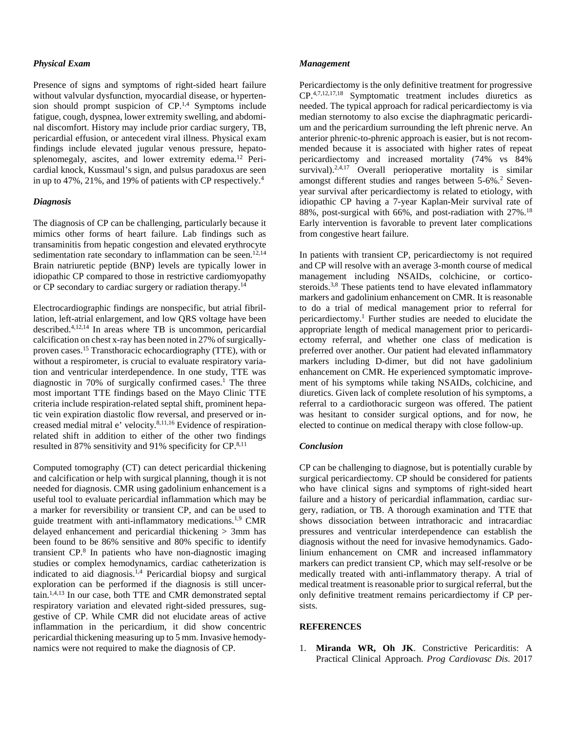# *Physical Exam*

Presence of signs and symptoms of right-sided heart failure without valvular dysfunction, myocardial disease, or hypertension should prompt suspicion of  $\mathbb{CP}^{1,4}$ . Symptoms include fatigue, cough, dyspnea, lower extremity swelling, and abdominal discomfort. History may include prior cardiac surgery, TB, pericardial effusion, or antecedent viral illness. Physical exam findings include elevated jugular venous pressure, hepatosplenomegaly, ascites, and lower extremity edema.<sup>12</sup> Pericardial knock, Kussmaul's sign, and pulsus paradoxus are seen in up to 47%, 21%, and 19% of patients with CP respectively.4

#### *Diagnosis*

The diagnosis of CP can be challenging, particularly because it mimics other forms of heart failure. Lab findings such as transaminitis from hepatic congestion and elevated erythrocyte sedimentation rate secondary to inflammation can be seen.<sup>12,14</sup> Brain natriuretic peptide (BNP) levels are typically lower in idiopathic CP compared to those in restrictive cardiomyopathy or CP secondary to cardiac surgery or radiation therapy.14

Electrocardiographic findings are nonspecific, but atrial fibrillation, left-atrial enlargement, and low QRS voltage have been described.4,12,14 In areas where TB is uncommon, pericardial calcification on chest x-ray has been noted in 27% of surgicallyproven cases.15 Transthoracic echocardiography (TTE), with or without a respirometer, is crucial to evaluate respiratory variation and ventricular interdependence. In one study, TTE was diagnostic in 70% of surgically confirmed cases.<sup>1</sup> The three most important TTE findings based on the Mayo Clinic TTE criteria include respiration-related septal shift, prominent hepatic vein expiration diastolic flow reversal, and preserved or increased medial mitral e' velocity.8,11,16 Evidence of respirationrelated shift in addition to either of the other two findings resulted in 87% sensitivity and 91% specificity for CP.<sup>8,11</sup>

Computed tomography (CT) can detect pericardial thickening and calcification or help with surgical planning, though it is not needed for diagnosis. CMR using gadolinium enhancement is a useful tool to evaluate pericardial inflammation which may be a marker for reversibility or transient CP, and can be used to guide treatment with anti-inflammatory medications.1,9 CMR delayed enhancement and pericardial thickening > 3mm has been found to be 86% sensitive and 80% specific to identify transient CP.8 In patients who have non-diagnostic imaging studies or complex hemodynamics, cardiac catheterization is indicated to aid diagnosis.1,4 Pericardial biopsy and surgical exploration can be performed if the diagnosis is still uncertain.1,4,13 In our case, both TTE and CMR demonstrated septal respiratory variation and elevated right-sided pressures, suggestive of CP. While CMR did not elucidate areas of active inflammation in the pericardium, it did show concentric pericardial thickening measuring up to 5 mm. Invasive hemodynamics were not required to make the diagnosis of CP.

#### *Management*

Pericardiectomy is the only definitive treatment for progressive CP.4,7,12,17,18 Symptomatic treatment includes diuretics as needed. The typical approach for radical pericardiectomy is via median sternotomy to also excise the diaphragmatic pericardium and the pericardium surrounding the left phrenic nerve. An anterior phrenic-to-phrenic approach is easier, but is not recommended because it is associated with higher rates of repeat pericardiectomy and increased mortality (74% vs 84% survival). $2,4,17$  Overall perioperative mortality is similar amongst different studies and ranges between 5-6%.<sup>2</sup> Sevenyear survival after pericardiectomy is related to etiology, with idiopathic CP having a 7-year Kaplan-Meir survival rate of 88%, post-surgical with 66%, and post-radiation with 27%.18 Early intervention is favorable to prevent later complications from congestive heart failure.

In patients with transient CP, pericardiectomy is not required and CP will resolve with an average 3-month course of medical management including NSAIDs, colchicine, or corticosteroids.<sup>3,8</sup> These patients tend to have elevated inflammatory markers and gadolinium enhancement on CMR. It is reasonable to do a trial of medical management prior to referral for pericardiectomy.1 Further studies are needed to elucidate the appropriate length of medical management prior to pericardiectomy referral, and whether one class of medication is preferred over another. Our patient had elevated inflammatory markers including D-dimer, but did not have gadolinium enhancement on CMR. He experienced symptomatic improvement of his symptoms while taking NSAIDs, colchicine, and diuretics. Given lack of complete resolution of his symptoms, a referral to a cardiothoracic surgeon was offered. The patient was hesitant to consider surgical options, and for now, he elected to continue on medical therapy with close follow-up.

#### *Conclusion*

CP can be challenging to diagnose, but is potentially curable by surgical pericardiectomy. CP should be considered for patients who have clinical signs and symptoms of right-sided heart failure and a history of pericardial inflammation, cardiac surgery, radiation, or TB. A thorough examination and TTE that shows dissociation between intrathoracic and intracardiac pressures and ventricular interdependence can establish the diagnosis without the need for invasive hemodynamics. Gadolinium enhancement on CMR and increased inflammatory markers can predict transient CP, which may self-resolve or be medically treated with anti-inflammatory therapy. A trial of medical treatment is reasonable prior to surgical referral, but the only definitive treatment remains pericardiectomy if CP persists.

# **REFERENCES**

1. **Miranda WR, Oh JK**. Constrictive Pericarditis: A Practical Clinical Approach. *Prog Cardiovasc Dis*. 2017